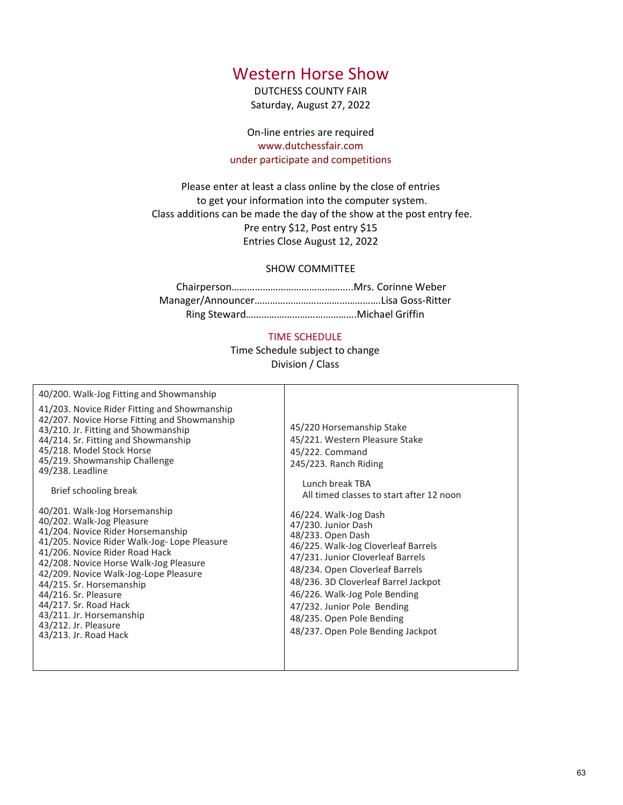# Western Horse Show

DUTCHESS COUNTY FAIR Saturday, August 27, 2022

On-line entries are required www.dutchessfair.com under participate and competitions

Please enter at least a class online by the close of entries to get your information into the computer system. Class additions can be made the day of the show at the post entry fee. Pre entry \$12, Post entry \$15 Entries Close August 12, 2022

## SHOW COMMITTEE

Chairperson………………………………………..Mrs. Corinne Weber Manager/Announcer………………………………………….Lisa Goss-Ritter Ring Steward…………………………………….Michael Griffin

## TIME SCHEDULE

Time Schedule subject to change Division / Class

| 40/200. Walk-Jog Fitting and Showmanship                                                                                                                                                                                                                                                                                                                                                                                      |                                                                                                                                                                                                                                                                                                                     |
|-------------------------------------------------------------------------------------------------------------------------------------------------------------------------------------------------------------------------------------------------------------------------------------------------------------------------------------------------------------------------------------------------------------------------------|---------------------------------------------------------------------------------------------------------------------------------------------------------------------------------------------------------------------------------------------------------------------------------------------------------------------|
| 41/203. Novice Rider Fitting and Showmanship<br>42/207. Novice Horse Fitting and Showmanship<br>43/210. Jr. Fitting and Showmanship<br>44/214. Sr. Fitting and Showmanship<br>45/218. Model Stock Horse<br>45/219. Showmanship Challenge<br>49/238. Leadline                                                                                                                                                                  | 45/220 Horsemanship Stake<br>45/221. Western Pleasure S<br>45/222. Command<br>245/223. Ranch Riding                                                                                                                                                                                                                 |
| Brief schooling break                                                                                                                                                                                                                                                                                                                                                                                                         | Lunch break TBA<br>All timed classes to start                                                                                                                                                                                                                                                                       |
| 40/201. Walk-Jog Horsemanship<br>40/202. Walk-Jog Pleasure<br>41/204. Novice Rider Horsemanship<br>41/205. Novice Rider Walk-Jog-Lope Pleasure<br>41/206. Novice Rider Road Hack<br>42/208. Novice Horse Walk-Jog Pleasure<br>42/209. Novice Walk-Jog-Lope Pleasure<br>44/215. Sr. Horsemanship<br>44/216. Sr. Pleasure<br>44/217. Sr. Road Hack<br>43/211. Jr. Horsemanship<br>43/212. Jr. Pleasure<br>43/213. Jr. Road Hack | 46/224. Walk-Jog Dash<br>47/230. Junior Dash<br>48/233. Open Dash<br>46/225. Walk-Jog Cloverleat<br>47/231. Junior Cloverleaf Ba<br>48/234. Open Cloverleaf Ba<br>48/236. 3D Cloverleaf Barre<br>46/226. Walk-Jog Pole Bend<br>47/232. Junior Pole Bendin<br>48/235. Open Pole Bending<br>48/237. Open Pole Bending |
|                                                                                                                                                                                                                                                                                                                                                                                                                               |                                                                                                                                                                                                                                                                                                                     |

ip Stake easure Stake 45/222. Command 245/223. Ranch Riding

Lunch break TBA to start after 12 noon

46/224. Walk-Jog Dash 47/230. Junior Dash 48/233. Open Dash overleaf Barrels erleaf Barrels rleaf Barrels af Barrel Jackpot ble Bending **Bending** ending ending Jackpot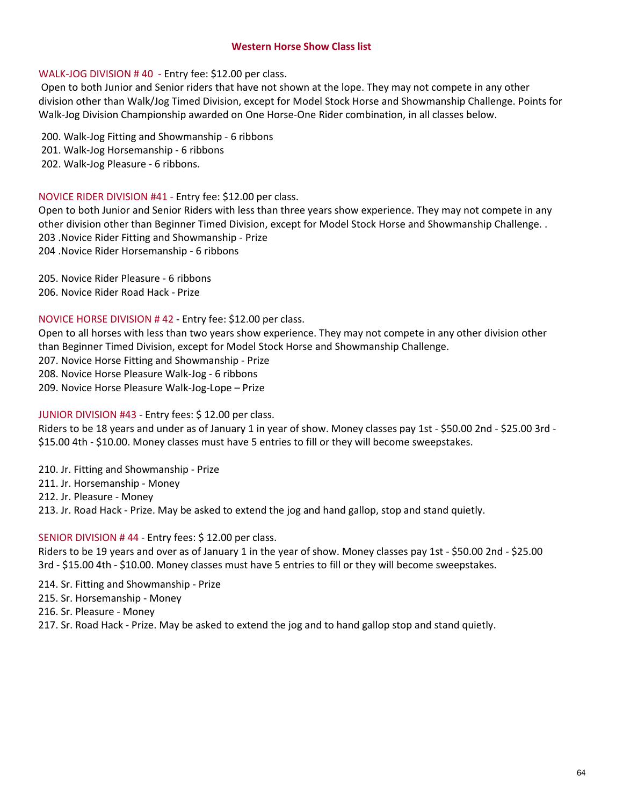# Western Horse Show Class list

# WALK-JOG DIVISION # 40 - Entry fee: \$12.00 per class.

Open to both Junior and Senior riders that have not shown at the lope. They may not compete in any other division other than Walk/Jog Timed Division, except for Model Stock Horse and Showmanship Challenge. Points for Walk-Jog Division Championship awarded on One Horse-One Rider combination, in all classes below. Western Horse Show Class list<br>
WALK-JOG DIVISION # 40 - Entry fee: \$12.00 per class.<br>
Open to both Junior and Senior riders that have not shown at the lope. They m<br>
division other than Walk/Jog Timed Division, except for M Western Horse Show Class list<br>
WALK-JOG DIVISION # 40 - Entry fee: \$12.00 per class.<br>
Open to both Junior and Senior riders that have not shown at the lope. They n<br>
division other than Walk/Jog Timed Division, except for M Western Horse Show Class list<br>
WALK-JOG DIVISION # 40 - Entry fee: \$12.00 per class.<br>
Open to both Junior and Senior riders that have not shown at the lope. They n<br>
division other than Walk/Jog Timed Division, except for M

- 
- 

# NOVICE RIDER DIVISION #41 - Entry fee: \$12.00 per class.

Open to both Junior and Senior Riders with less than three years show experience. They may not compete in any other division other than Beginner Timed Division, except for Model Stock Horse and Showmanship Challenge. . 203 .Novice Rider Fitting and Showmanship - Prize 204 .Novice Rider Horsemanship - 6 ribbons Western Horse Show Class list<br>
WALK-JOG DIVISION #40 - Entry fee: \$12.00 per class.<br>
Open to both Junior and Senior riders that have not shown at the lope. They division other than Walk/Jog Timed Division, except for Model Western Horse Show Class list<br>
WALK-JOG DIVISION #40 - Entry fee: \$12.00 per class.<br>
Open to both Junior and Senior riders that have not shown at the lope. They division other than Walk/Jog Timed Division, except for Model Wolk-Jog Division Championship awarded on One Horse-One Rider combination, in all<br>
200. Walk-Jog Fitting and Showmanship - 6 ribbons<br>
201. Walk-Jog Horsemanship - 6 ribbons<br>
202. Walk-Jog Horsemanship - 6 ribbons<br>
202. Wal 1200. Walk-Jog Fitting and Showmanship - 6 ribbons<br>
201. Walk-Jog Fitting and Showmanship - 6 ribbons<br>
202. Walk-Jog Florsemanship - 6 ribbons<br>
202. Walk-Jog Pleasure - 6 ribbons<br>
202. Walk-Jog Pleasure - 6 ribbons<br>
202. W 200. Walk-Jog Fitting and Showmanship - 6 ribbons<br>201. Walk-Jog Horsemanship - 6 ribbons<br>202. Walk-Jog Pleasure - 6 ribbons<br>202. Walk-Jog Pleasure - 6 ribbons.<br>NOVICE RIDER DIVISION #41 - Entry fee: \$12.00 per class.<br>200. pother division other than Beginner Timed Division, except for Model Stock Horder division other than Beginner Timed Division, except for Model Stock Horder 203 .Novice Rider Horsemanship - 6 ribbons<br>205 .Novice Rider Hors 203. Novice Rider Fitting and Showmanship - Prize<br>
203. Novice Rider Fitting and Showmanship - Prize<br>
204. Novice Rider Horsemanship - 6 ribbons<br>
205. Novice Rider Pleasure - 6 ribbons<br>
205. Novice Rider Pleasure - 6 ribbo

# NOVICE HORSE DIVISION # 42 - Entry fee: \$12.00 per class.

Open to all horses with less than two years show experience. They may not compete in any other division other than Beginner Timed Division, except for Model Stock Horse and Showmanship Challenge.

- 
- 
- 

# JUNIOR DIVISION #43 - Entry fees: \$ 12.00 per class.

Riders to be 18 years and under as of January 1 in year of show. Money classes pay 1st - \$50.00 2nd - \$25.00 3rd - \$15.00 4th - \$10.00. Money classes must have 5 entries to fill or they will become sweepstakes. 2008. Novice Rider Horsemanship - 6 ribbons<br>
2014. Novice Rider Horsemanship - 6 ribbons<br>
2015. Novice Rider Pleasure - 6 ribbons<br>
2016. Novice Rider Road Hack - Prize<br>
2016. Novice Rider Road Hack - Prize<br>
2016. Novice Ho 20. Novice Rider Pleasure - 6 ribbons<br>205. Novice Rider Pleasure - 6 ribbons<br>206. Novice Rider Road Hack - Prize<br>NOVICE HORSE DIVISION # 42 - Entry fee: \$12.00 per class.<br>201. Novice Horse swith less than two years show ex 208. Novice Horse Pleasure Walk-log- 6 ribbons<br>209. Novice Horse Pleasure Walk-log-Lope — Prize<br>
100100 RDVISION #43 - Entry fees: \$12.00 per class.<br>
Riders to be 18 years and under as of January 1 in year of show. Money c

- 
- 

# SENIOR DIVISION # 44 - Entry fees: \$ 12.00 per class.

Riders to be 19 years and over as of January 1 in the year of show. Money classes pay 1st - \$50.00 2nd - \$25.00 3rd - \$15.00 4th - \$10.00. Money classes must have 5 entries to fill or they will become sweepstakes. Open to all horses with less than two years show experience. They may not complement Trimed Division, except for Model Stock Horse and Showmanship 207. Novice Horse Pleasure Walk-Jog - 6 ribbons<br>209. Novice Horse Pleasure than Beginner Timed Division, except for Model Stock Horse and Showmanship<br>202. Novice Horse Fitting and Showmanship - Prize<br>208. Novice Horse Pleasure Walk-Jog - 6 ribbons<br>209. Novice Horse Pleasure Walk-Jog- 6 ribbons<br>20 207. Novice Horse Fitting and Showmanship - Prize<br>208. Novice Horse Pleasure Walk-Jog - 6 ribbons<br>209. Novice Horse Pleasure Walk-Jog-Lope – Prize<br>209. Novice Horse Pleasure Walk-Jog-Lope – Prize<br>101000 DIVISION #43 - Entr

- 
-